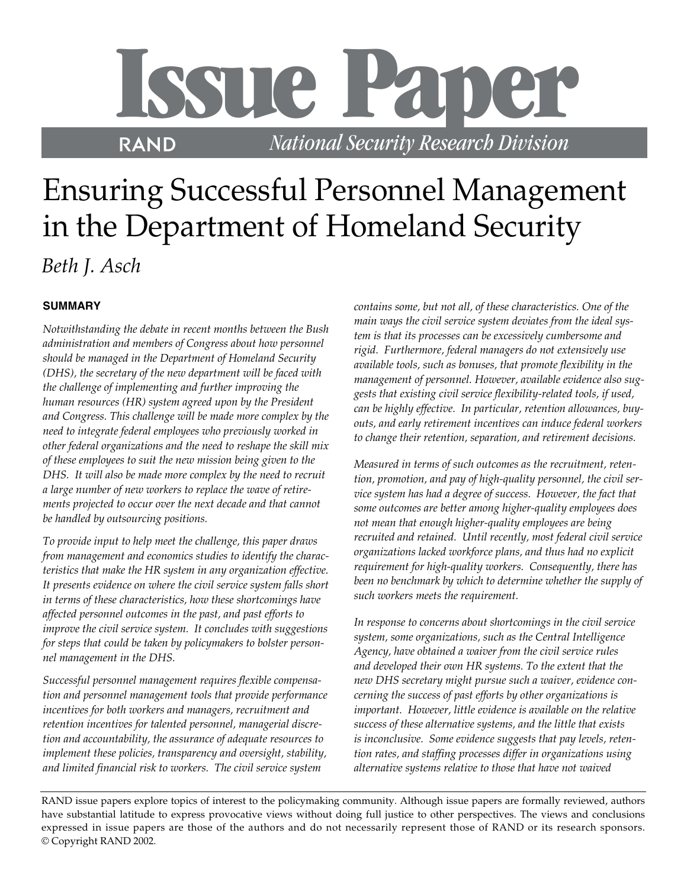# **Issue Paper**

R *National Security Research Division*

## Ensuring Successful Personnel Management in the Department of Homeland Security *Beth J. Asch*

### **SUMMARY**

*Notwithstanding the debate in recent months between the Bush administration and members of Congress about how personnel should be managed in the Department of Homeland Security (DHS), the secretary of the new department will be faced with the challenge of implementing and further improving the human resources (HR) system agreed upon by the President and Congress. This challenge will be made more complex by the need to integrate federal employees who previously worked in other federal organizations and the need to reshape the skill mix of these employees to suit the new mission being given to the DHS. It will also be made more complex by the need to recruit a large number of new workers to replace the wave of retirements projected to occur over the next decade and that cannot be handled by outsourcing positions.* 

*To provide input to help meet the challenge, this paper draws from management and economics studies to identify the characteristics that make the HR system in any organization effective. It presents evidence on where the civil service system falls short in terms of these characteristics, how these shortcomings have affected personnel outcomes in the past, and past efforts to improve the civil service system. It concludes with suggestions for steps that could be taken by policymakers to bolster personnel management in the DHS.* 

*Successful personnel management requires flexible compensation and personnel management tools that provide performance incentives for both workers and managers, recruitment and retention incentives for talented personnel, managerial discretion and accountability, the assurance of adequate resources to implement these policies, transparency and oversight, stability, and limited financial risk to workers. The civil service system*

*contains some, but not all, of these characteristics. One of the main ways the civil service system deviates from the ideal system is that its processes can be excessively cumbersome and rigid. Furthermore, federal managers do not extensively use available tools, such as bonuses, that promote flexibility in the management of personnel. However, available evidence also suggests that existing civil service flexibility-related tools, if used, can be highly effective. In particular, retention allowances, buyouts, and early retirement incentives can induce federal workers to change their retention, separation, and retirement decisions.* 

*Measured in terms of such outcomes as the recruitment, retention, promotion, and pay of high-quality personnel, the civil service system has had a degree of success. However, the fact that some outcomes are better among higher-quality employees does not mean that enough higher-quality employees are being recruited and retained. Until recently, most federal civil service organizations lacked workforce plans, and thus had no explicit requirement for high-quality workers. Consequently, there has been no benchmark by which to determine whether the supply of such workers meets the requirement.* 

*In response to concerns about shortcomings in the civil service system, some organizations, such as the Central Intelligence Agency, have obtained a waiver from the civil service rules and developed their own HR systems. To the extent that the new DHS secretary might pursue such a waiver, evidence concerning the success of past efforts by other organizations is important. However, little evidence is available on the relative success of these alternative systems, and the little that exists is inconclusive. Some evidence suggests that pay levels, retention rates, and staffing processes differ in organizations using alternative systems relative to those that have not waived*

RAND issue papers explore topics of interest to the policymaking community. Although issue papers are formally reviewed, authors have substantial latitude to express provocative views without doing full justice to other perspectives. The views and conclusions expressed in issue papers are those of the authors and do not necessarily represent those of RAND or its research sponsors. © Copyright RAND 2002.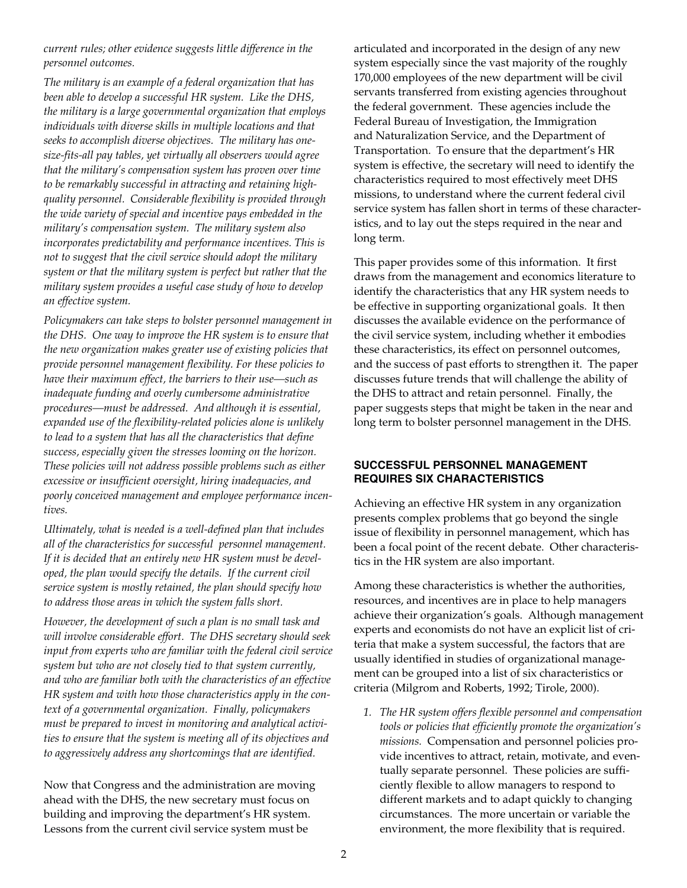*current rules; other evidence suggests little difference in the personnel outcomes.*

*The military is an example of a federal organization that has been able to develop a successful HR system. Like the DHS, the military is a large governmental organization that employs individuals with diverse skills in multiple locations and that seeks to accomplish diverse objectives. The military has onesize-fits-all pay tables, yet virtually all observers would agree that the military's compensation system has proven over time to be remarkably successful in attracting and retaining highquality personnel. Considerable flexibility is provided through the wide variety of special and incentive pays embedded in the military's compensation system. The military system also incorporates predictability and performance incentives. This is not to suggest that the civil service should adopt the military system or that the military system is perfect but rather that the military system provides a useful case study of how to develop an effective system.* 

*Policymakers can take steps to bolster personnel management in the DHS. One way to improve the HR system is to ensure that the new organization makes greater use of existing policies that provide personnel management flexibility. For these policies to have their maximum effect, the barriers to their use—such as inadequate funding and overly cumbersome administrative procedures—must be addressed. And although it is essential, expanded use of the flexibility-related policies alone is unlikely to lead to a system that has all the characteristics that define success, especially given the stresses looming on the horizon. These policies will not address possible problems such as either excessive or insufficient oversight, hiring inadequacies, and poorly conceived management and employee performance incentives.* 

*Ultimately, what is needed is a well-defined plan that includes all of the characteristics for successful personnel management. If it is decided that an entirely new HR system must be developed, the plan would specify the details. If the current civil service system is mostly retained, the plan should specify how to address those areas in which the system falls short.* 

*However, the development of such a plan is no small task and will involve considerable effort. The DHS secretary should seek input from experts who are familiar with the federal civil service system but who are not closely tied to that system currently, and who are familiar both with the characteristics of an effective HR system and with how those characteristics apply in the context of a governmental organization. Finally, policymakers must be prepared to invest in monitoring and analytical activities to ensure that the system is meeting all of its objectives and to aggressively address any shortcomings that are identified.*

Now that Congress and the administration are moving ahead with the DHS, the new secretary must focus on building and improving the department's HR system. Lessons from the current civil service system must be

articulated and incorporated in the design of any new system especially since the vast majority of the roughly 170,000 employees of the new department will be civil servants transferred from existing agencies throughout the federal government. These agencies include the Federal Bureau of Investigation, the Immigration and Naturalization Service, and the Department of Transportation. To ensure that the department's HR system is effective, the secretary will need to identify the characteristics required to most effectively meet DHS missions, to understand where the current federal civil service system has fallen short in terms of these characteristics, and to lay out the steps required in the near and long term.

This paper provides some of this information. It first draws from the management and economics literature to identify the characteristics that any HR system needs to be effective in supporting organizational goals. It then discusses the available evidence on the performance of the civil service system, including whether it embodies these characteristics, its effect on personnel outcomes, and the success of past efforts to strengthen it. The paper discusses future trends that will challenge the ability of the DHS to attract and retain personnel. Finally, the paper suggests steps that might be taken in the near and long term to bolster personnel management in the DHS.

#### **SUCCESSFUL PERSONNEL MANAGEMENT REQUIRES SIX CHARACTERISTICS**

Achieving an effective HR system in any organization presents complex problems that go beyond the single issue of flexibility in personnel management, which has been a focal point of the recent debate. Other characteristics in the HR system are also important.

Among these characteristics is whether the authorities, resources, and incentives are in place to help managers achieve their organization's goals. Although management experts and economists do not have an explicit list of criteria that make a system successful, the factors that are usually identified in studies of organizational management can be grouped into a list of six characteristics or criteria (Milgrom and Roberts, 1992; Tirole, 2000).

*1. The HR system offers flexible personnel and compensation tools or policies that efficiently promote the organization's missions.* Compensation and personnel policies provide incentives to attract, retain, motivate, and eventually separate personnel. These policies are sufficiently flexible to allow managers to respond to different markets and to adapt quickly to changing circumstances. The more uncertain or variable the environment, the more flexibility that is required.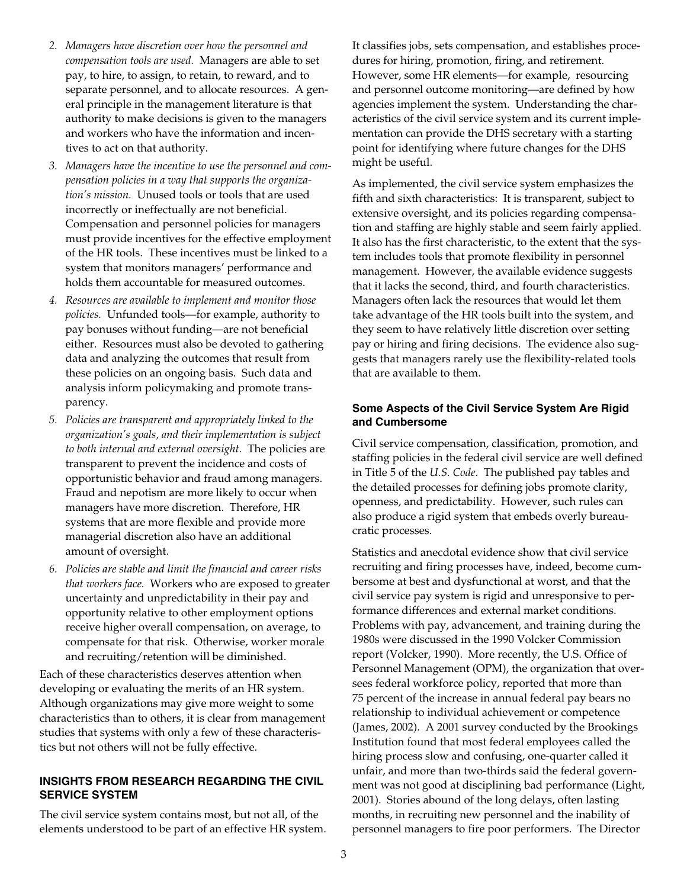- *2. Managers have discretion over how the personnel and compensation tools are used.* Managers are able to set pay, to hire, to assign, to retain, to reward, and to separate personnel, and to allocate resources. A general principle in the management literature is that authority to make decisions is given to the managers and workers who have the information and incentives to act on that authority.
- *3. Managers have the incentive to use the personnel and compensation policies in a way that supports the organization's mission.* Unused tools or tools that are used incorrectly or ineffectually are not beneficial. Compensation and personnel policies for managers must provide incentives for the effective employment of the HR tools. These incentives must be linked to a system that monitors managers' performance and holds them accountable for measured outcomes.
- *4. Resources are available to implement and monitor those policies.* Unfunded tools—for example, authority to pay bonuses without funding—are not beneficial either. Resources must also be devoted to gathering data and analyzing the outcomes that result from these policies on an ongoing basis. Such data and analysis inform policymaking and promote transparency.
- *5. Policies are transparent and appropriately linked to the organization's goals, and their implementation is subject to both internal and external oversight.* The policies are transparent to prevent the incidence and costs of opportunistic behavior and fraud among managers. Fraud and nepotism are more likely to occur when managers have more discretion. Therefore, HR systems that are more flexible and provide more managerial discretion also have an additional amount of oversight.
- *6. Policies are stable and limit the financial and career risks that workers face.* Workers who are exposed to greater uncertainty and unpredictability in their pay and opportunity relative to other employment options receive higher overall compensation, on average, to compensate for that risk. Otherwise, worker morale and recruiting/retention will be diminished.

Each of these characteristics deserves attention when developing or evaluating the merits of an HR system. Although organizations may give more weight to some characteristics than to others, it is clear from management studies that systems with only a few of these characteristics but not others will not be fully effective.

#### **INSIGHTS FROM RESEARCH REGARDING THE CIVIL SERVICE SYSTEM**

The civil service system contains most, but not all, of the elements understood to be part of an effective HR system. It classifies jobs, sets compensation, and establishes procedures for hiring, promotion, firing, and retirement. However, some HR elements—for example, resourcing and personnel outcome monitoring—are defined by how agencies implement the system. Understanding the characteristics of the civil service system and its current implementation can provide the DHS secretary with a starting point for identifying where future changes for the DHS might be useful.

As implemented, the civil service system emphasizes the fifth and sixth characteristics: It is transparent, subject to extensive oversight, and its policies regarding compensation and staffing are highly stable and seem fairly applied. It also has the first characteristic, to the extent that the system includes tools that promote flexibility in personnel management. However, the available evidence suggests that it lacks the second, third, and fourth characteristics. Managers often lack the resources that would let them take advantage of the HR tools built into the system, and they seem to have relatively little discretion over setting pay or hiring and firing decisions. The evidence also suggests that managers rarely use the flexibility-related tools that are available to them.

#### **Some Aspects of the Civil Service System Are Rigid and Cumbersome**

Civil service compensation, classification, promotion, and staffing policies in the federal civil service are well defined in Title 5 of the *U.S. Code*. The published pay tables and the detailed processes for defining jobs promote clarity, openness, and predictability. However, such rules can also produce a rigid system that embeds overly bureaucratic processes.

Statistics and anecdotal evidence show that civil service recruiting and firing processes have, indeed, become cumbersome at best and dysfunctional at worst, and that the civil service pay system is rigid and unresponsive to performance differences and external market conditions. Problems with pay, advancement, and training during the 1980s were discussed in the 1990 Volcker Commission report (Volcker, 1990). More recently, the U.S. Office of Personnel Management (OPM), the organization that oversees federal workforce policy, reported that more than 75 percent of the increase in annual federal pay bears no relationship to individual achievement or competence (James, 2002). A 2001 survey conducted by the Brookings Institution found that most federal employees called the hiring process slow and confusing, one-quarter called it unfair, and more than two-thirds said the federal government was not good at disciplining bad performance (Light, 2001). Stories abound of the long delays, often lasting months, in recruiting new personnel and the inability of personnel managers to fire poor performers. The Director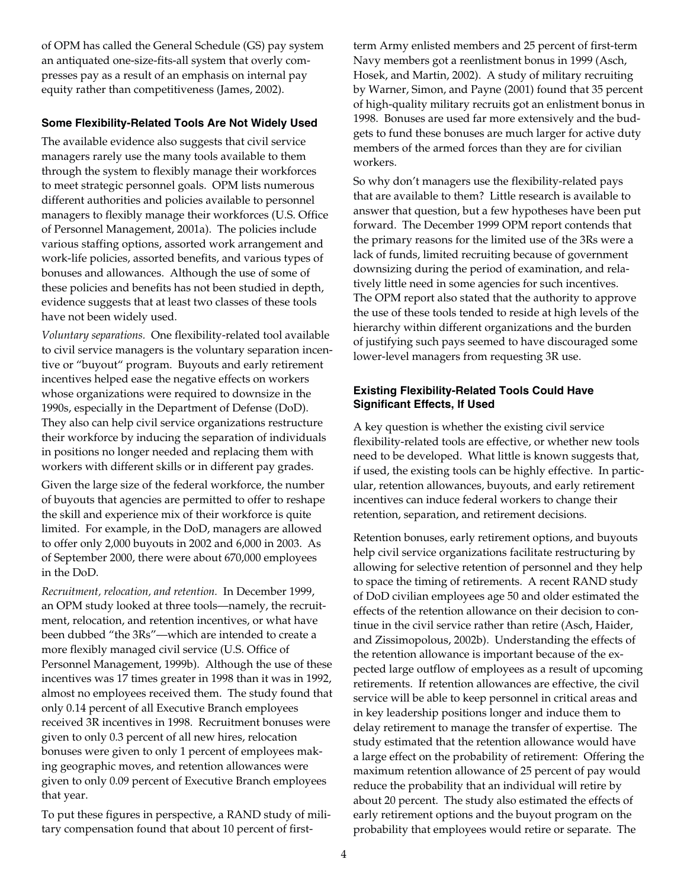of OPM has called the General Schedule (GS) pay system an antiquated one-size-fits-all system that overly compresses pay as a result of an emphasis on internal pay equity rather than competitiveness (James, 2002).

#### **Some Flexibility-Related Tools Are Not Widely Used**

The available evidence also suggests that civil service managers rarely use the many tools available to them through the system to flexibly manage their workforces to meet strategic personnel goals. OPM lists numerous different authorities and policies available to personnel managers to flexibly manage their workforces (U.S. Office of Personnel Management, 2001a). The policies include various staffing options, assorted work arrangement and work-life policies, assorted benefits, and various types of bonuses and allowances. Although the use of some of these policies and benefits has not been studied in depth, evidence suggests that at least two classes of these tools have not been widely used.

*Voluntary separations.* One flexibility-related tool available to civil service managers is the voluntary separation incentive or "buyout" program. Buyouts and early retirement incentives helped ease the negative effects on workers whose organizations were required to downsize in the 1990s, especially in the Department of Defense (DoD). They also can help civil service organizations restructure their workforce by inducing the separation of individuals in positions no longer needed and replacing them with workers with different skills or in different pay grades.

Given the large size of the federal workforce, the number of buyouts that agencies are permitted to offer to reshape the skill and experience mix of their workforce is quite limited. For example, in the DoD, managers are allowed to offer only 2,000 buyouts in 2002 and 6,000 in 2003. As of September 2000, there were about 670,000 employees in the DoD.

*Recruitment, relocation, and retention.* In December 1999, an OPM study looked at three tools—namely, the recruitment, relocation, and retention incentives, or what have been dubbed "the 3Rs"—which are intended to create a more flexibly managed civil service (U.S. Office of Personnel Management, 1999b). Although the use of these incentives was 17 times greater in 1998 than it was in 1992, almost no employees received them. The study found that only 0.14 percent of all Executive Branch employees received 3R incentives in 1998. Recruitment bonuses were given to only 0.3 percent of all new hires, relocation bonuses were given to only 1 percent of employees making geographic moves, and retention allowances were given to only 0.09 percent of Executive Branch employees that year.

To put these figures in perspective, a RAND study of military compensation found that about 10 percent of firstterm Army enlisted members and 25 percent of first-term Navy members got a reenlistment bonus in 1999 (Asch, Hosek, and Martin, 2002). A study of military recruiting by Warner, Simon, and Payne (2001) found that 35 percent of high-quality military recruits got an enlistment bonus in 1998. Bonuses are used far more extensively and the budgets to fund these bonuses are much larger for active duty members of the armed forces than they are for civilian workers.

So why don't managers use the flexibility-related pays that are available to them? Little research is available to answer that question, but a few hypotheses have been put forward. The December 1999 OPM report contends that the primary reasons for the limited use of the 3Rs were a lack of funds, limited recruiting because of government downsizing during the period of examination, and relatively little need in some agencies for such incentives. The OPM report also stated that the authority to approve the use of these tools tended to reside at high levels of the hierarchy within different organizations and the burden of justifying such pays seemed to have discouraged some lower-level managers from requesting 3R use.

#### **Existing Flexibility-Related Tools Could Have Significant Effects, If Used**

A key question is whether the existing civil service flexibility-related tools are effective, or whether new tools need to be developed. What little is known suggests that, if used, the existing tools can be highly effective. In particular, retention allowances, buyouts, and early retirement incentives can induce federal workers to change their retention, separation, and retirement decisions.

Retention bonuses, early retirement options, and buyouts help civil service organizations facilitate restructuring by allowing for selective retention of personnel and they help to space the timing of retirements. A recent RAND study of DoD civilian employees age 50 and older estimated the effects of the retention allowance on their decision to continue in the civil service rather than retire (Asch, Haider, and Zissimopolous, 2002b). Understanding the effects of the retention allowance is important because of the expected large outflow of employees as a result of upcoming retirements. If retention allowances are effective, the civil service will be able to keep personnel in critical areas and in key leadership positions longer and induce them to delay retirement to manage the transfer of expertise. The study estimated that the retention allowance would have a large effect on the probability of retirement: Offering the maximum retention allowance of 25 percent of pay would reduce the probability that an individual will retire by about 20 percent. The study also estimated the effects of early retirement options and the buyout program on the probability that employees would retire or separate. The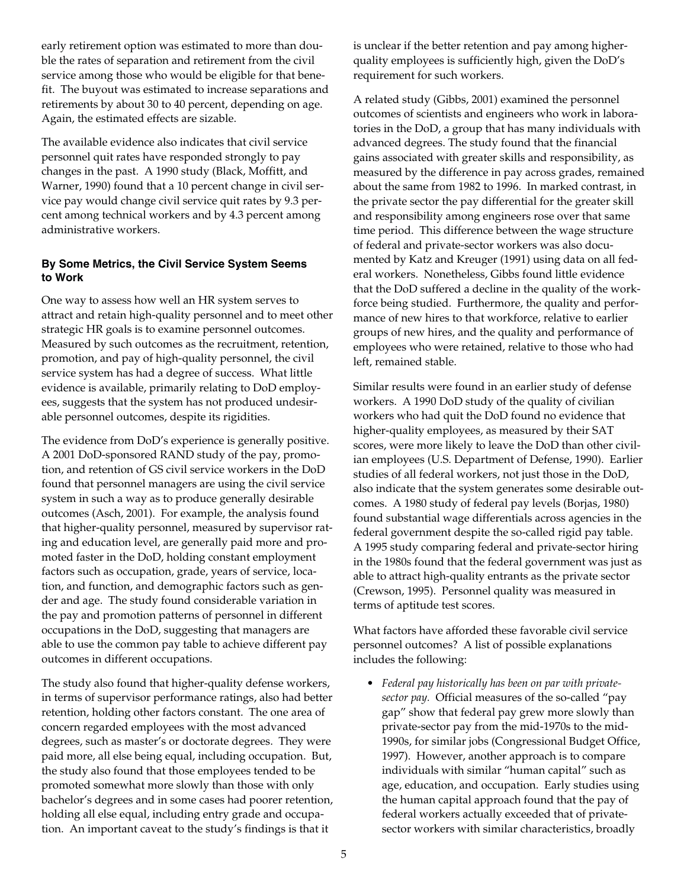early retirement option was estimated to more than double the rates of separation and retirement from the civil service among those who would be eligible for that benefit. The buyout was estimated to increase separations and retirements by about 30 to 40 percent, depending on age. Again, the estimated effects are sizable.

The available evidence also indicates that civil service personnel quit rates have responded strongly to pay changes in the past. A 1990 study (Black, Moffitt, and Warner, 1990) found that a 10 percent change in civil service pay would change civil service quit rates by 9.3 percent among technical workers and by 4.3 percent among administrative workers.

#### **By Some Metrics, the Civil Service System Seems to Work**

One way to assess how well an HR system serves to attract and retain high-quality personnel and to meet other strategic HR goals is to examine personnel outcomes. Measured by such outcomes as the recruitment, retention, promotion, and pay of high-quality personnel, the civil service system has had a degree of success. What little evidence is available, primarily relating to DoD employees, suggests that the system has not produced undesirable personnel outcomes, despite its rigidities.

The evidence from DoD's experience is generally positive. A 2001 DoD-sponsored RAND study of the pay, promotion, and retention of GS civil service workers in the DoD found that personnel managers are using the civil service system in such a way as to produce generally desirable outcomes (Asch, 2001). For example, the analysis found that higher-quality personnel, measured by supervisor rating and education level, are generally paid more and promoted faster in the DoD, holding constant employment factors such as occupation, grade, years of service, location, and function, and demographic factors such as gender and age. The study found considerable variation in the pay and promotion patterns of personnel in different occupations in the DoD, suggesting that managers are able to use the common pay table to achieve different pay outcomes in different occupations.

The study also found that higher-quality defense workers, in terms of supervisor performance ratings, also had better retention, holding other factors constant. The one area of concern regarded employees with the most advanced degrees, such as master's or doctorate degrees. They were paid more, all else being equal, including occupation. But, the study also found that those employees tended to be promoted somewhat more slowly than those with only bachelor's degrees and in some cases had poorer retention, holding all else equal, including entry grade and occupation. An important caveat to the study's findings is that it

is unclear if the better retention and pay among higherquality employees is sufficiently high, given the DoD's requirement for such workers.

A related study (Gibbs, 2001) examined the personnel outcomes of scientists and engineers who work in laboratories in the DoD, a group that has many individuals with advanced degrees. The study found that the financial gains associated with greater skills and responsibility, as measured by the difference in pay across grades, remained about the same from 1982 to 1996. In marked contrast, in the private sector the pay differential for the greater skill and responsibility among engineers rose over that same time period. This difference between the wage structure of federal and private-sector workers was also documented by Katz and Kreuger (1991) using data on all federal workers. Nonetheless, Gibbs found little evidence that the DoD suffered a decline in the quality of the workforce being studied. Furthermore, the quality and performance of new hires to that workforce, relative to earlier groups of new hires, and the quality and performance of employees who were retained, relative to those who had left, remained stable.

Similar results were found in an earlier study of defense workers. A 1990 DoD study of the quality of civilian workers who had quit the DoD found no evidence that higher-quality employees, as measured by their SAT scores, were more likely to leave the DoD than other civilian employees (U.S. Department of Defense, 1990). Earlier studies of all federal workers, not just those in the DoD, also indicate that the system generates some desirable outcomes. A 1980 study of federal pay levels (Borjas, 1980) found substantial wage differentials across agencies in the federal government despite the so-called rigid pay table. A 1995 study comparing federal and private-sector hiring in the 1980s found that the federal government was just as able to attract high-quality entrants as the private sector (Crewson, 1995). Personnel quality was measured in terms of aptitude test scores.

What factors have afforded these favorable civil service personnel outcomes? A list of possible explanations includes the following:

• *Federal pay historically has been on par with privatesector pay.* Official measures of the so-called "pay gap" show that federal pay grew more slowly than private-sector pay from the mid-1970s to the mid-1990s, for similar jobs (Congressional Budget Office, 1997). However, another approach is to compare individuals with similar "human capital" such as age, education, and occupation. Early studies using the human capital approach found that the pay of federal workers actually exceeded that of privatesector workers with similar characteristics, broadly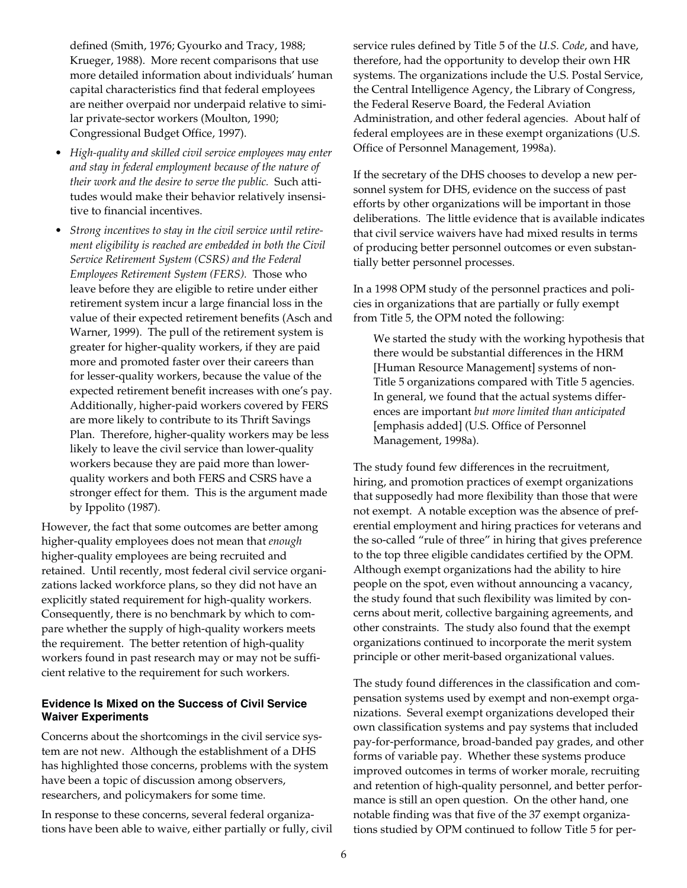defined (Smith, 1976; Gyourko and Tracy, 1988; Krueger, 1988). More recent comparisons that use more detailed information about individuals' human capital characteristics find that federal employees are neither overpaid nor underpaid relative to similar private-sector workers (Moulton, 1990; Congressional Budget Office, 1997).

- *High-quality and skilled civil service employees may enter and stay in federal employment because of the nature of their work and the desire to serve the public.* Such attitudes would make their behavior relatively insensitive to financial incentives.
- *Strong incentives to stay in the civil service until retirement eligibility is reached are embedded in both the Civil Service Retirement System (CSRS) and the Federal Employees Retirement System (FERS).* Those who leave before they are eligible to retire under either retirement system incur a large financial loss in the value of their expected retirement benefits (Asch and Warner, 1999). The pull of the retirement system is greater for higher-quality workers, if they are paid more and promoted faster over their careers than for lesser-quality workers, because the value of the expected retirement benefit increases with one's pay. Additionally, higher-paid workers covered by FERS are more likely to contribute to its Thrift Savings Plan. Therefore, higher-quality workers may be less likely to leave the civil service than lower-quality workers because they are paid more than lowerquality workers and both FERS and CSRS have a stronger effect for them. This is the argument made by Ippolito (1987).

However, the fact that some outcomes are better among higher-quality employees does not mean that *enough* higher-quality employees are being recruited and retained. Until recently, most federal civil service organizations lacked workforce plans, so they did not have an explicitly stated requirement for high-quality workers. Consequently, there is no benchmark by which to compare whether the supply of high-quality workers meets the requirement. The better retention of high-quality workers found in past research may or may not be sufficient relative to the requirement for such workers.

#### **Evidence Is Mixed on the Success of Civil Service Waiver Experiments**

Concerns about the shortcomings in the civil service system are not new. Although the establishment of a DHS has highlighted those concerns, problems with the system have been a topic of discussion among observers, researchers, and policymakers for some time.

In response to these concerns, several federal organizations have been able to waive, either partially or fully, civil service rules defined by Title 5 of the *U.S. Code*, and have, therefore, had the opportunity to develop their own HR systems. The organizations include the U.S. Postal Service, the Central Intelligence Agency, the Library of Congress, the Federal Reserve Board, the Federal Aviation Administration, and other federal agencies. About half of federal employees are in these exempt organizations (U.S. Office of Personnel Management, 1998a).

If the secretary of the DHS chooses to develop a new personnel system for DHS, evidence on the success of past efforts by other organizations will be important in those deliberations. The little evidence that is available indicates that civil service waivers have had mixed results in terms of producing better personnel outcomes or even substantially better personnel processes.

In a 1998 OPM study of the personnel practices and policies in organizations that are partially or fully exempt from Title 5, the OPM noted the following:

We started the study with the working hypothesis that there would be substantial differences in the HRM [Human Resource Management] systems of non-Title 5 organizations compared with Title 5 agencies. In general, we found that the actual systems differences are important *but more limited than anticipated* [emphasis added] (U.S. Office of Personnel Management, 1998a).

The study found few differences in the recruitment, hiring, and promotion practices of exempt organizations that supposedly had more flexibility than those that were not exempt. A notable exception was the absence of preferential employment and hiring practices for veterans and the so-called "rule of three" in hiring that gives preference to the top three eligible candidates certified by the OPM. Although exempt organizations had the ability to hire people on the spot, even without announcing a vacancy, the study found that such flexibility was limited by concerns about merit, collective bargaining agreements, and other constraints. The study also found that the exempt organizations continued to incorporate the merit system principle or other merit-based organizational values.

The study found differences in the classification and compensation systems used by exempt and non-exempt organizations. Several exempt organizations developed their own classification systems and pay systems that included pay-for-performance, broad-banded pay grades, and other forms of variable pay. Whether these systems produce improved outcomes in terms of worker morale, recruiting and retention of high-quality personnel, and better performance is still an open question. On the other hand, one notable finding was that five of the 37 exempt organizations studied by OPM continued to follow Title 5 for per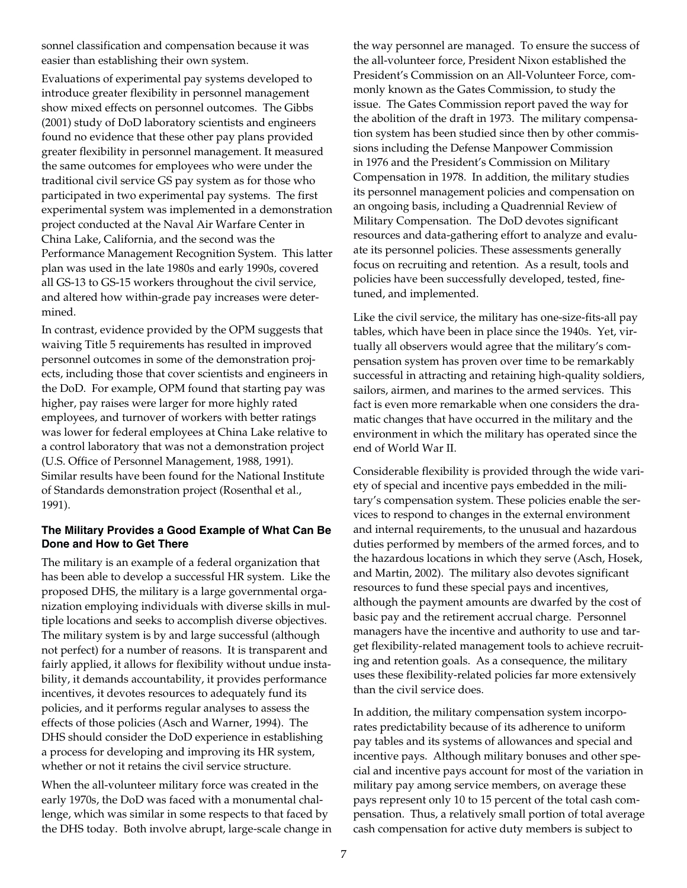sonnel classification and compensation because it was easier than establishing their own system.

Evaluations of experimental pay systems developed to introduce greater flexibility in personnel management show mixed effects on personnel outcomes. The Gibbs (2001) study of DoD laboratory scientists and engineers found no evidence that these other pay plans provided greater flexibility in personnel management. It measured the same outcomes for employees who were under the traditional civil service GS pay system as for those who participated in two experimental pay systems. The first experimental system was implemented in a demonstration project conducted at the Naval Air Warfare Center in China Lake, California, and the second was the Performance Management Recognition System. This latter plan was used in the late 1980s and early 1990s, covered all GS-13 to GS-15 workers throughout the civil service, and altered how within-grade pay increases were determined.

In contrast, evidence provided by the OPM suggests that waiving Title 5 requirements has resulted in improved personnel outcomes in some of the demonstration projects, including those that cover scientists and engineers in the DoD. For example, OPM found that starting pay was higher, pay raises were larger for more highly rated employees, and turnover of workers with better ratings was lower for federal employees at China Lake relative to a control laboratory that was not a demonstration project (U.S. Office of Personnel Management, 1988, 1991). Similar results have been found for the National Institute of Standards demonstration project (Rosenthal et al., 1991).

#### **The Military Provides a Good Example of What Can Be Done and How to Get There**

The military is an example of a federal organization that has been able to develop a successful HR system. Like the proposed DHS, the military is a large governmental organization employing individuals with diverse skills in multiple locations and seeks to accomplish diverse objectives. The military system is by and large successful (although not perfect) for a number of reasons. It is transparent and fairly applied, it allows for flexibility without undue instability, it demands accountability, it provides performance incentives, it devotes resources to adequately fund its policies, and it performs regular analyses to assess the effects of those policies (Asch and Warner, 1994). The DHS should consider the DoD experience in establishing a process for developing and improving its HR system, whether or not it retains the civil service structure.

When the all-volunteer military force was created in the early 1970s, the DoD was faced with a monumental challenge, which was similar in some respects to that faced by the DHS today. Both involve abrupt, large-scale change in the way personnel are managed. To ensure the success of the all-volunteer force, President Nixon established the President's Commission on an All-Volunteer Force, commonly known as the Gates Commission, to study the issue. The Gates Commission report paved the way for the abolition of the draft in 1973. The military compensation system has been studied since then by other commissions including the Defense Manpower Commission in 1976 and the President's Commission on Military Compensation in 1978. In addition, the military studies its personnel management policies and compensation on an ongoing basis, including a Quadrennial Review of Military Compensation. The DoD devotes significant resources and data-gathering effort to analyze and evaluate its personnel policies. These assessments generally focus on recruiting and retention. As a result, tools and policies have been successfully developed, tested, finetuned, and implemented.

Like the civil service, the military has one-size-fits-all pay tables, which have been in place since the 1940s. Yet, virtually all observers would agree that the military's compensation system has proven over time to be remarkably successful in attracting and retaining high-quality soldiers, sailors, airmen, and marines to the armed services. This fact is even more remarkable when one considers the dramatic changes that have occurred in the military and the environment in which the military has operated since the end of World War II.

Considerable flexibility is provided through the wide variety of special and incentive pays embedded in the military's compensation system. These policies enable the services to respond to changes in the external environment and internal requirements, to the unusual and hazardous duties performed by members of the armed forces, and to the hazardous locations in which they serve (Asch, Hosek, and Martin, 2002). The military also devotes significant resources to fund these special pays and incentives, although the payment amounts are dwarfed by the cost of basic pay and the retirement accrual charge. Personnel managers have the incentive and authority to use and target flexibility-related management tools to achieve recruiting and retention goals. As a consequence, the military uses these flexibility-related policies far more extensively than the civil service does.

In addition, the military compensation system incorporates predictability because of its adherence to uniform pay tables and its systems of allowances and special and incentive pays. Although military bonuses and other special and incentive pays account for most of the variation in military pay among service members, on average these pays represent only 10 to 15 percent of the total cash compensation. Thus, a relatively small portion of total average cash compensation for active duty members is subject to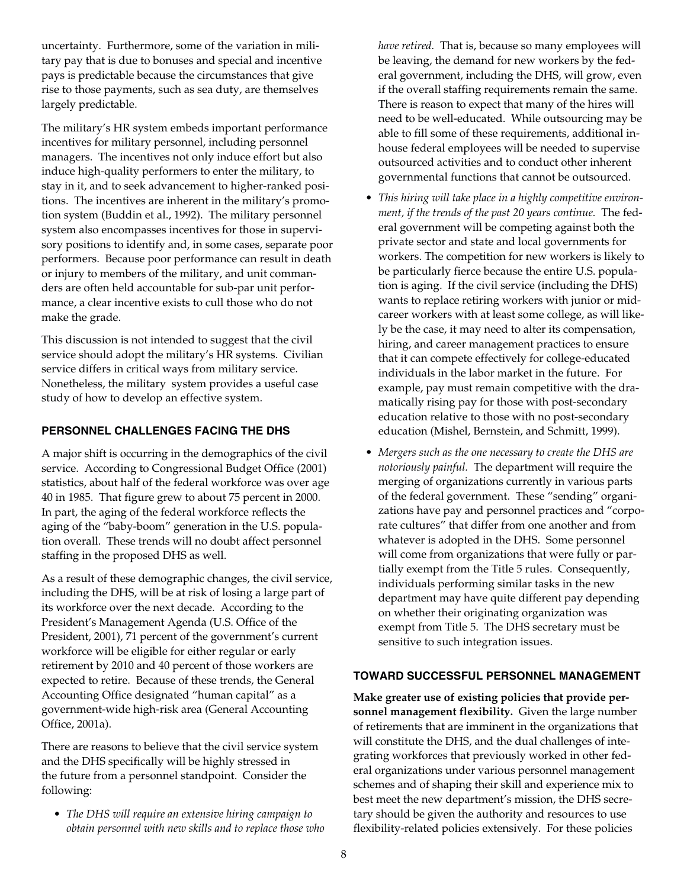uncertainty. Furthermore, some of the variation in military pay that is due to bonuses and special and incentive pays is predictable because the circumstances that give rise to those payments, such as sea duty, are themselves largely predictable.

The military's HR system embeds important performance incentives for military personnel, including personnel managers. The incentives not only induce effort but also induce high-quality performers to enter the military, to stay in it, and to seek advancement to higher-ranked positions. The incentives are inherent in the military's promotion system (Buddin et al., 1992). The military personnel system also encompasses incentives for those in supervisory positions to identify and, in some cases, separate poor performers. Because poor performance can result in death or injury to members of the military, and unit commanders are often held accountable for sub-par unit performance, a clear incentive exists to cull those who do not make the grade.

This discussion is not intended to suggest that the civil service should adopt the military's HR systems. Civilian service differs in critical ways from military service. Nonetheless, the military system provides a useful case study of how to develop an effective system.

#### **PERSONNEL CHALLENGES FACING THE DHS**

A major shift is occurring in the demographics of the civil service. According to Congressional Budget Office (2001) statistics, about half of the federal workforce was over age 40 in 1985. That figure grew to about 75 percent in 2000. In part, the aging of the federal workforce reflects the aging of the "baby-boom" generation in the U.S. population overall. These trends will no doubt affect personnel staffing in the proposed DHS as well.

As a result of these demographic changes, the civil service, including the DHS, will be at risk of losing a large part of its workforce over the next decade. According to the President's Management Agenda (U.S. Office of the President, 2001), 71 percent of the government's current workforce will be eligible for either regular or early retirement by 2010 and 40 percent of those workers are expected to retire. Because of these trends, the General Accounting Office designated "human capital" as a government-wide high-risk area (General Accounting Office, 2001a).

There are reasons to believe that the civil service system and the DHS specifically will be highly stressed in the future from a personnel standpoint. Consider the following:

• *The DHS will require an extensive hiring campaign to obtain personnel with new skills and to replace those who* *have retired.* That is, because so many employees will be leaving, the demand for new workers by the federal government, including the DHS, will grow, even if the overall staffing requirements remain the same. There is reason to expect that many of the hires will need to be well-educated. While outsourcing may be able to fill some of these requirements, additional inhouse federal employees will be needed to supervise outsourced activities and to conduct other inherent governmental functions that cannot be outsourced.

- *This hiring will take place in a highly competitive environment, if the trends of the past 20 years continue.* The federal government will be competing against both the private sector and state and local governments for workers. The competition for new workers is likely to be particularly fierce because the entire U.S. population is aging. If the civil service (including the DHS) wants to replace retiring workers with junior or midcareer workers with at least some college, as will likely be the case, it may need to alter its compensation, hiring, and career management practices to ensure that it can compete effectively for college-educated individuals in the labor market in the future. For example, pay must remain competitive with the dramatically rising pay for those with post-secondary education relative to those with no post-secondary education (Mishel, Bernstein, and Schmitt, 1999).
- *Mergers such as the one necessary to create the DHS are notoriously painful.* The department will require the merging of organizations currently in various parts of the federal government. These "sending" organizations have pay and personnel practices and "corporate cultures" that differ from one another and from whatever is adopted in the DHS. Some personnel will come from organizations that were fully or partially exempt from the Title 5 rules. Consequently, individuals performing similar tasks in the new department may have quite different pay depending on whether their originating organization was exempt from Title 5. The DHS secretary must be sensitive to such integration issues.

#### **TOWARD SUCCESSFUL PERSONNEL MANAGEMENT**

**Make greater use of existing policies that provide personnel management flexibility.** Given the large number of retirements that are imminent in the organizations that will constitute the DHS, and the dual challenges of integrating workforces that previously worked in other federal organizations under various personnel management schemes and of shaping their skill and experience mix to best meet the new department's mission, the DHS secretary should be given the authority and resources to use flexibility-related policies extensively. For these policies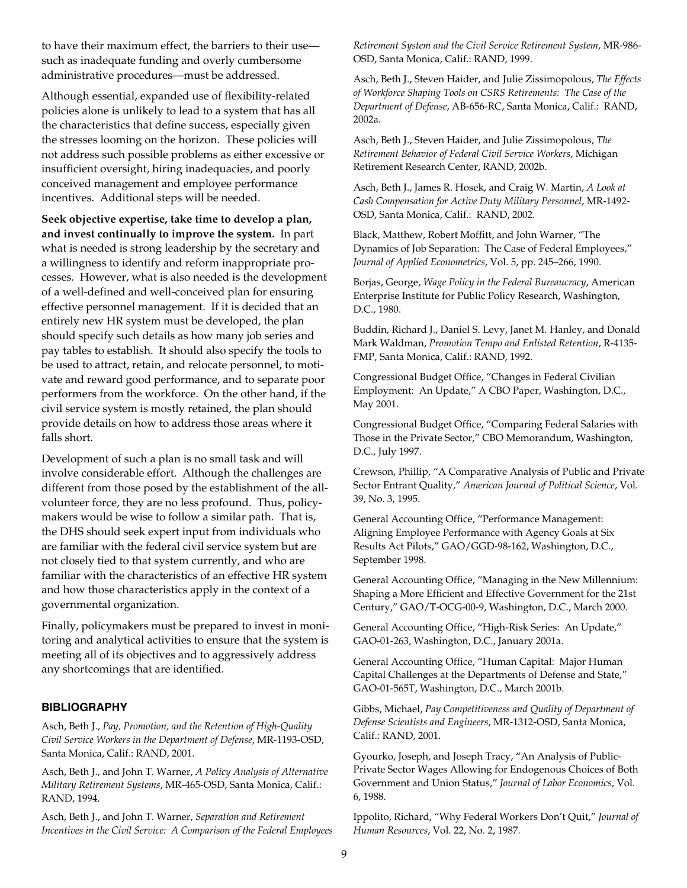to have their maximum effect, the barriers to their use such as inadequate funding and overly cumbersome administrative procedures—must be addressed.

Although essential, expanded use of flexibility-related policies alone is unlikely to lead to a system that has all the characteristics that define success, especially given the stresses looming on the horizon. These policies will not address such possible problems as either excessive or insufficient oversight, hiring inadequacies, and poorly conceived management and employee performance incentives. Additional steps will be needed.

**Seek objective expertise, take time to develop a plan, and invest continually to improve the system.** In part what is needed is strong leadership by the secretary and a willingness to identify and reform inappropriate processes. However, what is also needed is the development of a well-defined and well-conceived plan for ensuring effective personnel management. If it is decided that an entirely new HR system must be developed, the plan should specify such details as how many job series and pay tables to establish. It should also specify the tools to be used to attract, retain, and relocate personnel, to motivate and reward good performance, and to separate poor performers from the workforce. On the other hand, if the civil service system is mostly retained, the plan should provide details on how to address those areas where it falls short.

Development of such a plan is no small task and will involve considerable effort. Although the challenges are different from those posed by the establishment of the allvolunteer force, they are no less profound. Thus, policymakers would be wise to follow a similar path. That is, the DHS should seek expert input from individuals who are familiar with the federal civil service system but are not closely tied to that system currently, and who are familiar with the characteristics of an effective HR system and how those characteristics apply in the context of a governmental organization.

Finally, policymakers must be prepared to invest in monitoring and analytical activities to ensure that the system is meeting all of its objectives and to aggressively address any shortcomings that are identified.

#### **BIBLIOGRAPHY**

Asch, Beth J., *Pay, Promotion, and the Retention of High-Quality Civil Service Workers in the Department of Defense*, MR-1193-OSD, Santa Monica, Calif.: RAND, 2001.

Asch, Beth J., and John T. Warner, *A Policy Analysis of Alternative Military Retirement Systems*, MR-465-OSD, Santa Monica, Calif.: RAND, 1994.

Asch, Beth J., and John T. Warner, *Separation and Retirement Incentives in the Civil Service: A Comparison of the Federal Employees* *Retirement System and the Civil Service Retirement System*, MR-986- OSD, Santa Monica, Calif.: RAND, 1999.

Asch, Beth J., Steven Haider, and Julie Zissimopolous, *The Effects of Workforce Shaping Tools on CSRS Retirements: The Case of the Department of Defense*, AB-656-RC, Santa Monica, Calif.: RAND, 2002a.

Asch, Beth J., Steven Haider, and Julie Zissimopolous, *The Retirement Behavior of Federal Civil Service Workers*, Michigan Retirement Research Center, RAND, 2002b.

Asch, Beth J., James R. Hosek, and Craig W. Martin, *A Look at Cash Compensation for Active Duty Military Personnel*, MR-1492- OSD, Santa Monica, Calif.: RAND, 2002.

Black, Matthew, Robert Moffitt, and John Warner, "The Dynamics of Job Separation: The Case of Federal Employees," *Journal of Applied Econometrics*, Vol. 5, pp. 245–266, 1990.

Borjas, George, *Wage Policy in the Federal Bureaucracy*, American Enterprise Institute for Public Policy Research, Washington, D.C., 1980.

Buddin, Richard J., Daniel S. Levy, Janet M. Hanley, and Donald Mark Waldman, *Promotion Tempo and Enlisted Retention*, R-4135- FMP, Santa Monica, Calif.: RAND, 1992.

Congressional Budget Office, "Changes in Federal Civilian Employment: An Update," A CBO Paper, Washington, D.C., May 2001.

Congressional Budget Office, "Comparing Federal Salaries with Those in the Private Sector," CBO Memorandum, Washington, D.C., July 1997.

Crewson, Phillip, "A Comparative Analysis of Public and Private Sector Entrant Quality," *American Journal of Political Science*, Vol. 39, No. 3, 1995.

General Accounting Office, "Performance Management: Aligning Employee Performance with Agency Goals at Six Results Act Pilots," GAO/GGD-98-162, Washington, D.C., September 1998.

General Accounting Office, "Managing in the New Millennium: Shaping a More Efficient and Effective Government for the 21st Century," GAO/T-OCG-00-9, Washington, D.C., March 2000.

General Accounting Office, "High-Risk Series: An Update," GAO-01-263, Washington, D.C., January 2001a.

General Accounting Office, "Human Capital: Major Human Capital Challenges at the Departments of Defense and State," GAO-01-565T, Washington, D.C., March 2001b.

Gibbs, Michael, *Pay Competitiveness and Quality of Department of Defense Scientists and Engineers*, MR-1312-OSD, Santa Monica, Calif.: RAND, 2001.

Gyourko, Joseph, and Joseph Tracy, "An Analysis of Public-Private Sector Wages Allowing for Endogenous Choices of Both Government and Union Status," *Journal of Labor Economics*, Vol. 6, 1988.

Ippolito, Richard, "Why Federal Workers Don't Quit," *Journal of Human Resources*, Vol. 22, No. 2, 1987.